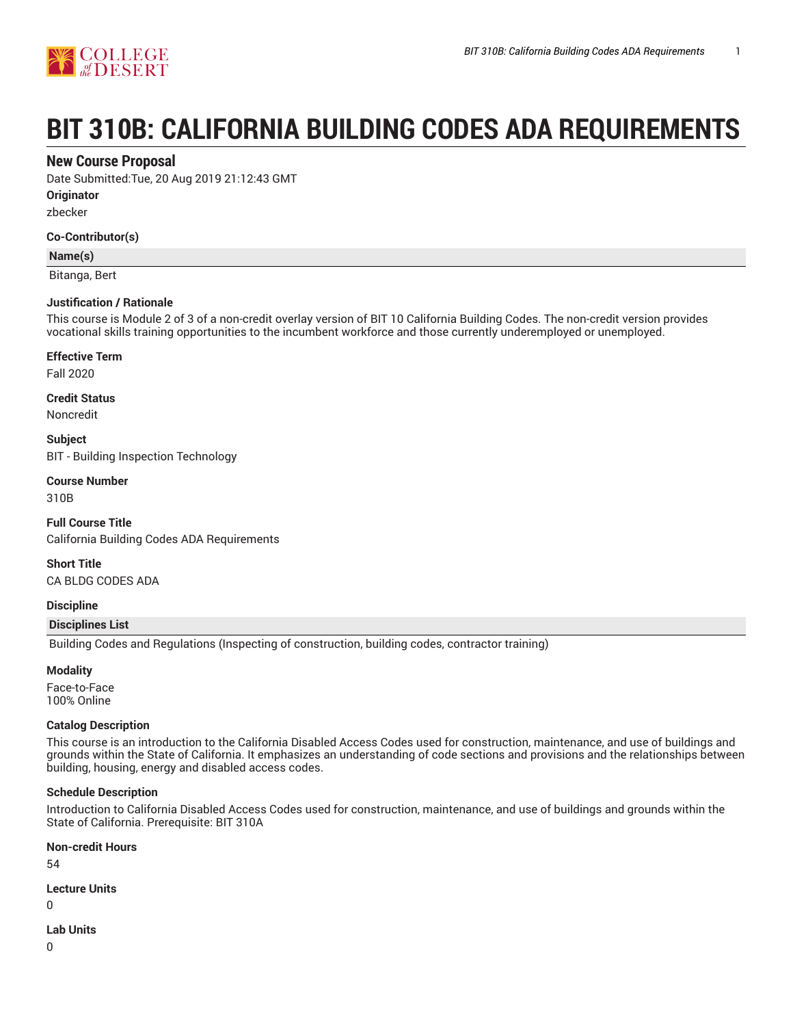

# **BIT 310B: CALIFORNIA BUILDING CODES ADA REQUIREMENTS**

## **New Course Proposal**

Date Submitted:Tue, 20 Aug 2019 21:12:43 GMT

**Originator**

zbecker

## **Co-Contributor(s)**

## **Name(s)**

Bitanga, Bert

## **Justification / Rationale**

This course is Module 2 of 3 of a non-credit overlay version of BIT 10 California Building Codes. The non-credit version provides vocational skills training opportunities to the incumbent workforce and those currently underemployed or unemployed.

#### **Effective Term**

Fall 2020

## **Credit Status**

Noncredit

**Subject** BIT - Building Inspection Technology

## **Course Number**

310B

**Full Course Title** California Building Codes ADA Requirements

**Short Title** CA BLDG CODES ADA

## **Discipline**

## **Disciplines List**

Building Codes and Regulations (Inspecting of construction, building codes, contractor training)

## **Modality**

Face-to-Face 100% Online

## **Catalog Description**

This course is an introduction to the California Disabled Access Codes used for construction, maintenance, and use of buildings and grounds within the State of California. It emphasizes an understanding of code sections and provisions and the relationships between building, housing, energy and disabled access codes.

## **Schedule Description**

Introduction to California Disabled Access Codes used for construction, maintenance, and use of buildings and grounds within the State of California. Prerequisite: BIT 310A

## **Non-credit Hours**

54

## **Lecture Units**

 $\Omega$ 

## **Lab Units**

0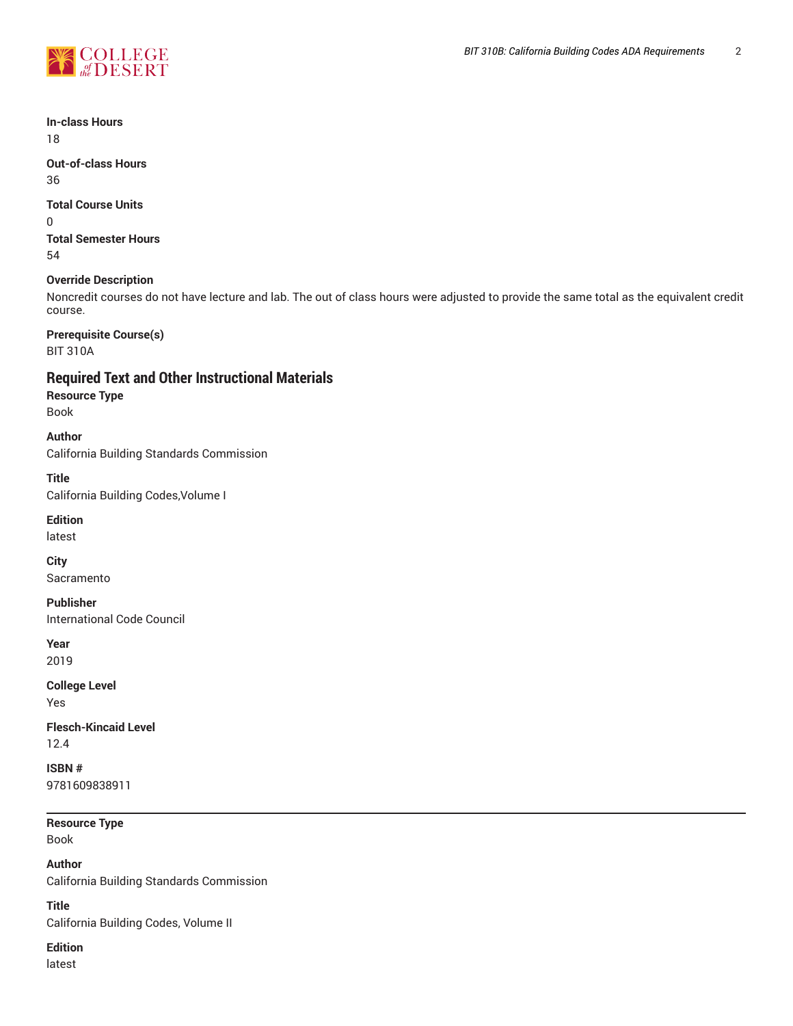

## **In-class Hours**

18

**Out-of-class Hours** 36

## **Total Course Units**

0 **Total Semester Hours** 54

## **Override Description**

Noncredit courses do not have lecture and lab. The out of class hours were adjusted to provide the same total as the equivalent credit course.

**Prerequisite Course(s)** BIT 310A

## **Required Text and Other Instructional Materials**

**Resource Type**

Book

## **Author**

California Building Standards Commission

**Title**

California Building Codes,Volume I

## **Edition**

latest

**City**

Sacramento

## **Publisher**

International Code Council

**Year**

2019

## **College Level** Yes

**Flesch-Kincaid Level** 12.4

**ISBN #**

9781609838911

## **Resource Type**

Book

**Author** California Building Standards Commission

**Title**

California Building Codes, Volume II

## **Edition**

latest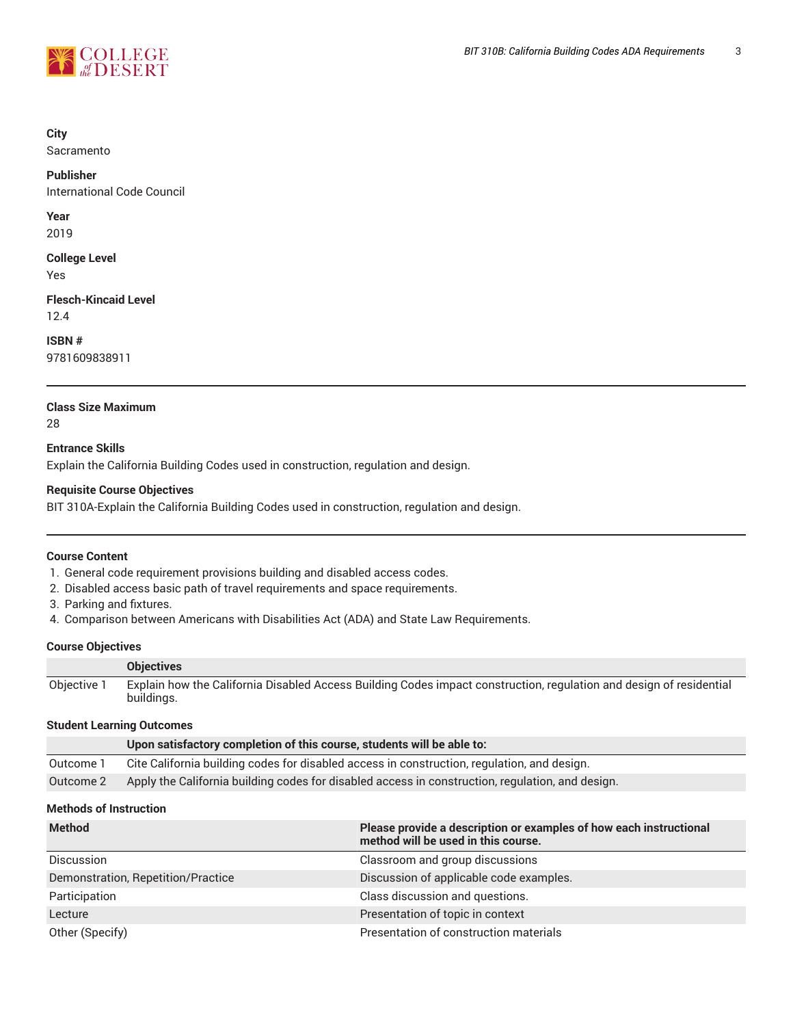

## **City**

Sacramento

## **Publisher**

International Code Council

**Year**

2019

**College Level** Yes

**Flesch-Kincaid Level** 12.4

**ISBN #**

9781609838911

## **Class Size Maximum** 28

**Entrance Skills** Explain the California Building Codes used in construction, regulation and design.

## **Requisite Course Objectives**

BIT 310A-Explain the California Building Codes used in construction, regulation and design.

## **Course Content**

- 1. General code requirement provisions building and disabled access codes.
- 2. Disabled access basic path of travel requirements and space requirements.
- 3. Parking and fixtures.
- 4. Comparison between Americans with Disabilities Act (ADA) and State Law Requirements.

## **Course Objectives**

|             | <b>Objectives</b>                                                                                                                 |
|-------------|-----------------------------------------------------------------------------------------------------------------------------------|
| Objective 1 | Explain how the California Disabled Access Building Codes impact construction, regulation and design of residential<br>buildings. |

## **Student Learning Outcomes**

|           | Upon satisfactory completion of this course, students will be able to:                           |
|-----------|--------------------------------------------------------------------------------------------------|
| Outcome 1 | Cite California building codes for disabled access in construction, regulation, and design.      |
| Outcome 2 | Apply the California building codes for disabled access in construction, regulation, and design. |

## **Methods of Instruction**

| <b>Method</b>                      | Please provide a description or examples of how each instructional<br>method will be used in this course. |
|------------------------------------|-----------------------------------------------------------------------------------------------------------|
| <b>Discussion</b>                  | Classroom and group discussions                                                                           |
| Demonstration, Repetition/Practice | Discussion of applicable code examples.                                                                   |
| Participation                      | Class discussion and questions.                                                                           |
| Lecture                            | Presentation of topic in context                                                                          |
| Other (Specify)                    | Presentation of construction materials                                                                    |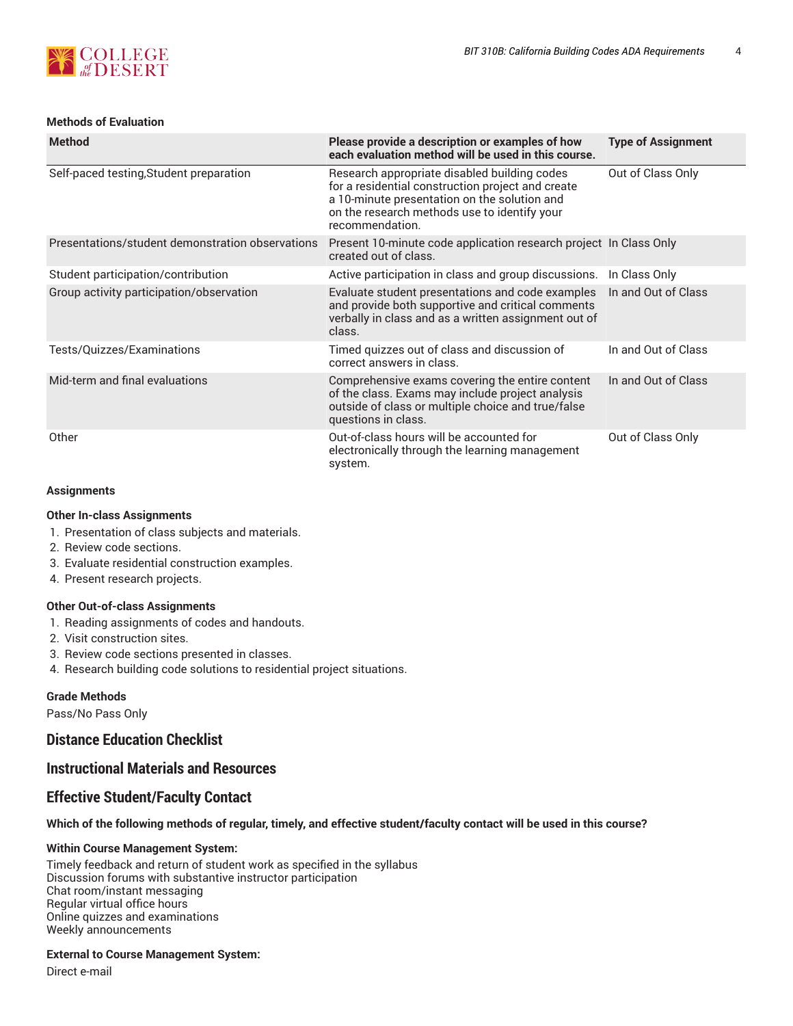

## **Methods of Evaluation**

| <b>Method</b>                                    | Please provide a description or examples of how<br>each evaluation method will be used in this course.                                                                                                               | <b>Type of Assignment</b> |
|--------------------------------------------------|----------------------------------------------------------------------------------------------------------------------------------------------------------------------------------------------------------------------|---------------------------|
| Self-paced testing, Student preparation          | Research appropriate disabled building codes<br>for a residential construction project and create<br>a 10-minute presentation on the solution and<br>on the research methods use to identify your<br>recommendation. | Out of Class Only         |
| Presentations/student demonstration observations | Present 10-minute code application research project In Class Only<br>created out of class.                                                                                                                           |                           |
| Student participation/contribution               | Active participation in class and group discussions.                                                                                                                                                                 | In Class Only             |
| Group activity participation/observation         | Evaluate student presentations and code examples<br>and provide both supportive and critical comments<br>verbally in class and as a written assignment out of<br>class.                                              | In and Out of Class       |
| Tests/Quizzes/Examinations                       | Timed quizzes out of class and discussion of<br>correct answers in class.                                                                                                                                            | In and Out of Class       |
| Mid-term and final evaluations                   | Comprehensive exams covering the entire content<br>of the class. Exams may include project analysis<br>outside of class or multiple choice and true/false<br>questions in class.                                     | In and Out of Class       |
| Other                                            | Out-of-class hours will be accounted for<br>electronically through the learning management<br>system.                                                                                                                | Out of Class Only         |

## **Assignments**

#### **Other In-class Assignments**

- 1. Presentation of class subjects and materials.
- 2. Review code sections.
- 3. Evaluate residential construction examples.
- 4. Present research projects.

## **Other Out-of-class Assignments**

- 1. Reading assignments of codes and handouts.
- 2. Visit construction sites.
- 3. Review code sections presented in classes.
- 4. Research building code solutions to residential project situations.

#### **Grade Methods**

Pass/No Pass Only

## **Distance Education Checklist**

## **Instructional Materials and Resources**

## **Effective Student/Faculty Contact**

## Which of the following methods of regular, timely, and effective student/faculty contact will be used in this course?

## **Within Course Management System:**

Timely feedback and return of student work as specified in the syllabus Discussion forums with substantive instructor participation Chat room/instant messaging Regular virtual office hours Online quizzes and examinations Weekly announcements

## **External to Course Management System:**

Direct e-mail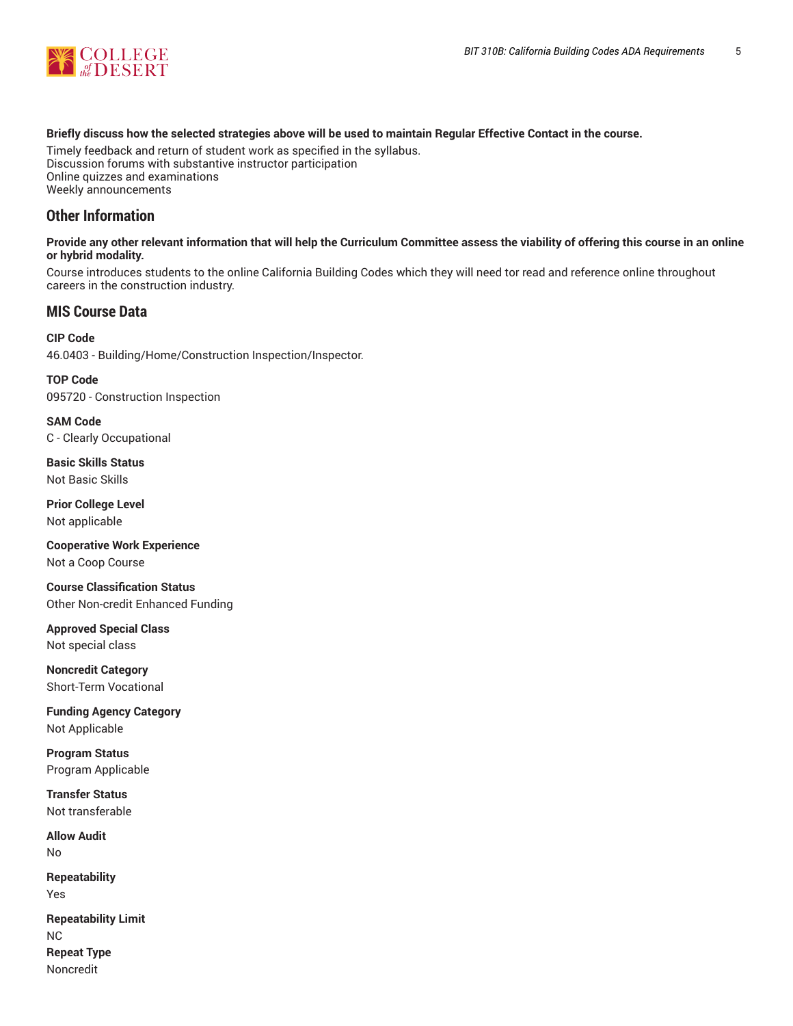

## Briefly discuss how the selected strategies above will be used to maintain Regular Effective Contact in the course.

Timely feedback and return of student work as specified in the syllabus. Discussion forums with substantive instructor participation Online quizzes and examinations Weekly announcements

## **Other Information**

## Provide any other relevant information that will help the Curriculum Committee assess the viability of offering this course in an online **or hybrid modality.**

Course introduces students to the online California Building Codes which they will need tor read and reference online throughout careers in the construction industry.

## **MIS Course Data**

**CIP Code** 46.0403 - Building/Home/Construction Inspection/Inspector.

**TOP Code** 095720 - Construction Inspection

**SAM Code** C - Clearly Occupational

**Basic Skills Status** Not Basic Skills

**Prior College Level** Not applicable

**Cooperative Work Experience** Not a Coop Course

**Course Classification Status** Other Non-credit Enhanced Funding

**Approved Special Class** Not special class

**Noncredit Category** Short-Term Vocational

**Funding Agency Category** Not Applicable

**Program Status** Program Applicable

**Transfer Status** Not transferable

**Allow Audit** No **Repeatability** Yes

**Repeatability Limit** NC **Repeat Type** Noncredit